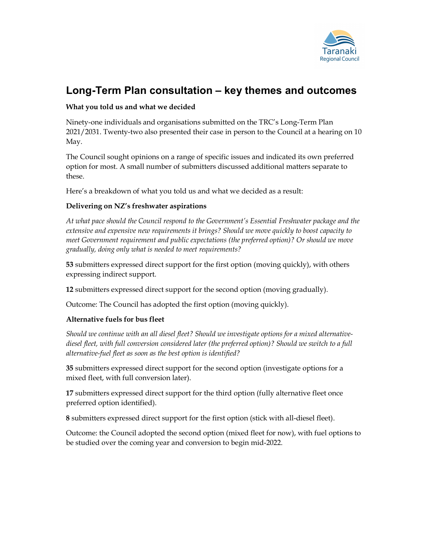

# Long-Term Plan consultation – key themes and outcomes

## What you told us and what we decided

Ninety-one individuals and organisations submitted on the TRC's Long-Term Plan 2021/2031. Twenty-two also presented their case in person to the Council at a hearing on 10 May.

The Council sought opinions on a range of specific issues and indicated its own preferred option for most. A small number of submitters discussed additional matters separate to these.

Here's a breakdown of what you told us and what we decided as a result:

## Delivering on NZ's freshwater aspirations

At what pace should the Council respond to the Government's Essential Freshwater package and the extensive and expensive new requirements it brings? Should we move quickly to boost capacity to meet Government requirement and public expectations (the preferred option)? Or should we move gradually, doing only what is needed to meet requirements?

53 submitters expressed direct support for the first option (moving quickly), with others expressing indirect support.

12 submitters expressed direct support for the second option (moving gradually).

Outcome: The Council has adopted the first option (moving quickly).

## Alternative fuels for bus fleet

Should we continue with an all diesel fleet? Should we investigate options for a mixed alternativediesel fleet, with full conversion considered later (the preferred option)? Should we switch to a full alternative-fuel fleet as soon as the best option is identified?

35 submitters expressed direct support for the second option (investigate options for a mixed fleet, with full conversion later).

17 submitters expressed direct support for the third option (fully alternative fleet once preferred option identified).

8 submitters expressed direct support for the first option (stick with all-diesel fleet).

Outcome: the Council adopted the second option (mixed fleet for now), with fuel options to be studied over the coming year and conversion to begin mid-2022.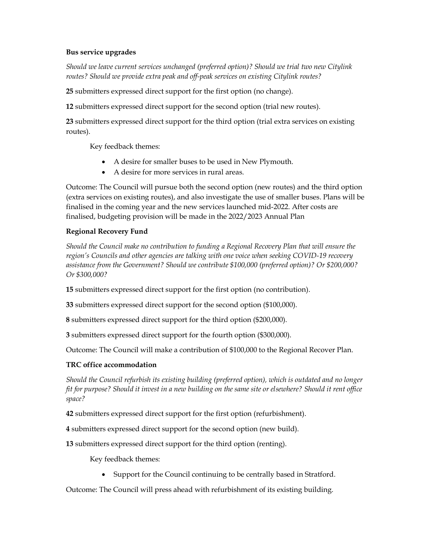### Bus service upgrades

Should we leave current services unchanged (preferred option)? Should we trial two new Citylink routes? Should we provide extra peak and off-peak services on existing Citylink routes?

25 submitters expressed direct support for the first option (no change).

12 submitters expressed direct support for the second option (trial new routes).

23 submitters expressed direct support for the third option (trial extra services on existing routes).

Key feedback themes:

- A desire for smaller buses to be used in New Plymouth.
- A desire for more services in rural areas.

Outcome: The Council will pursue both the second option (new routes) and the third option (extra services on existing routes), and also investigate the use of smaller buses. Plans will be finalised in the coming year and the new services launched mid-2022. After costs are finalised, budgeting provision will be made in the 2022/2023 Annual Plan

### Regional Recovery Fund

Should the Council make no contribution to funding a Regional Recovery Plan that will ensure the region's Councils and other agencies are talking with one voice when seeking COVID-19 recovery assistance from the Government? Should we contribute \$100,000 (preferred option)? Or \$200,000? Or \$300,000?

15 submitters expressed direct support for the first option (no contribution).

33 submitters expressed direct support for the second option (\$100,000).

8 submitters expressed direct support for the third option (\$200,000).

3 submitters expressed direct support for the fourth option (\$300,000).

Outcome: The Council will make a contribution of \$100,000 to the Regional Recover Plan.

## TRC office accommodation

Should the Council refurbish its existing building (preferred option), which is outdated and no longer fit for purpose? Should it invest in a new building on the same site or elsewhere? Should it rent office space?

42 submitters expressed direct support for the first option (refurbishment).

4 submitters expressed direct support for the second option (new build).

13 submitters expressed direct support for the third option (renting).

Key feedback themes:

Support for the Council continuing to be centrally based in Stratford.

Outcome: The Council will press ahead with refurbishment of its existing building.